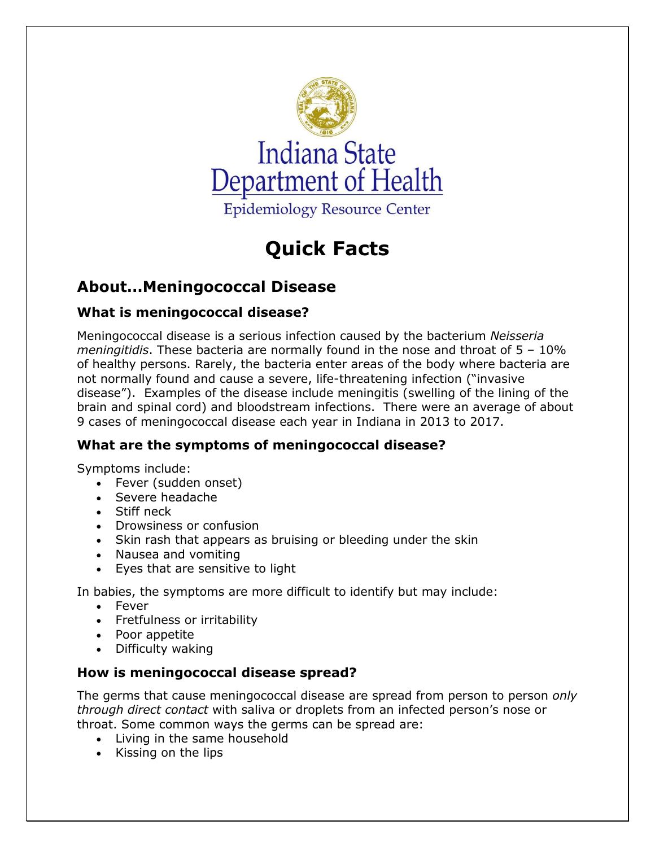

# **Quick Facts**

## **About…Meningococcal Disease**

#### **What is meningococcal disease?**

Meningococcal disease is a serious infection caused by the bacterium *Neisseria meningitidis*. These bacteria are normally found in the nose and throat of 5 – 10% of healthy persons. Rarely, the bacteria enter areas of the body where bacteria are not normally found and cause a severe, life-threatening infection ("invasive disease"). Examples of the disease include meningitis (swelling of the lining of the brain and spinal cord) and bloodstream infections. There were an average of about 9 cases of meningococcal disease each year in Indiana in 2013 to 2017.

### **What are the symptoms of meningococcal disease?**

Symptoms include:

- Fever (sudden onset)
- Severe headache
- Stiff neck
- Drowsiness or confusion
- Skin rash that appears as bruising or bleeding under the skin
- Nausea and vomiting
- Eyes that are sensitive to light

In babies, the symptoms are more difficult to identify but may include:

- Fever
- Fretfulness or irritability
- Poor appetite
- Difficulty waking

#### **How is meningococcal disease spread?**

The germs that cause meningococcal disease are spread from person to person *only through direct contact* with saliva or droplets from an infected person's nose or throat. Some common ways the germs can be spread are:

- Living in the same household
- Kissing on the lips